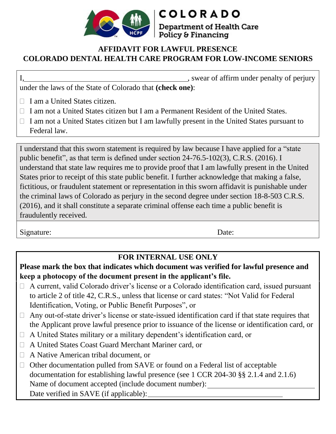

## **AFFIDAVIT FOR LAWFUL PRESENCE COLORADO DENTAL HEALTH CARE PROGRAM FOR LOW-INCOME SENIORS**

**COLORADO** 

Policy & Financing

**Department of Health Care** 

I, swear of affirm under penalty of perjury under the laws of the State of Colorado that **(check one)**:

- $\Box$  I am a United States citizen.
- $\Box$  I am not a United States citizen but I am a Permanent Resident of the United States.
- $\Box$  I am not a United States citizen but I am lawfully present in the United States pursuant to Federal law.

I understand that this sworn statement is required by law because I have applied for a "state public benefit", as that term is defined under section 24-76.5-102(3), C.R.S. (2016). I understand that state law requires me to provide proof that I am lawfully present in the United States prior to receipt of this state public benefit. I further acknowledge that making a false, fictitious, or fraudulent statement or representation in this sworn affidavit is punishable under the criminal laws of Colorado as perjury in the second degree under section 18-8-503 C.R.S. (2016), and it shall constitute a separate criminal offense each time a public benefit is fraudulently received.

Signature: Date:

## **FOR INTERNAL USE ONLY**

**Please mark the box that indicates which document was verified for lawful presence and keep a photocopy of the document present in the applicant's file.**

- $\Box$  A current, valid Colorado driver's license or a Colorado identification card, issued pursuant to article 2 of title 42, C.R.S., unless that license or card states: "Not Valid for Federal Identification, Voting, or Public Benefit Purposes", or
- $\Box$  Any out-of-state driver's license or state-issued identification card if that state requires that the Applicant prove lawful presence prior to issuance of the license or identification card, or
- $\Box$  A United States military or a military dependent's identification card, or
- A United States Coast Guard Merchant Mariner card, or
- A Native American tribal document, or
- $\Box$  Other documentation pulled from SAVE or found on a Federal list of acceptable documentation for establishing lawful presence (see 1 CCR 204-30 §§ 2.1.4 and 2.1.6) Name of document accepted (include document number): Date verified in SAVE (if applicable):